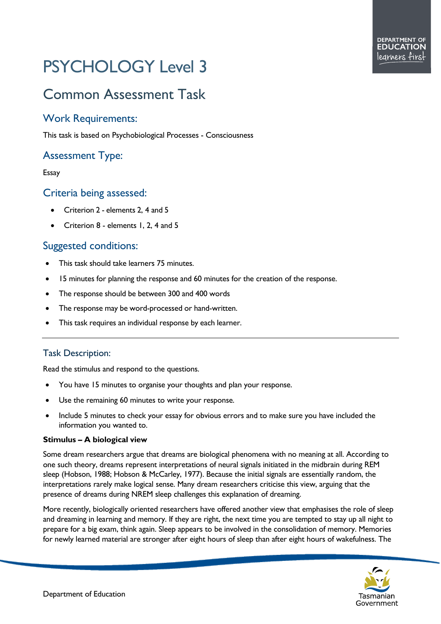# PSYCHOLOGY Level 3

# Common Assessment Task

### Work Requirements:

This task is based on Psychobiological Processes - Consciousness

# Assessment Type:

#### Essay

#### Criteria being assessed:

- Criterion 2 elements 2, 4 and 5
- Criterion 8 elements 1, 2, 4 and 5

## Suggested conditions:

- This task should take learners 75 minutes.
- 15 minutes for planning the response and 60 minutes for the creation of the response.
- The response should be between 300 and 400 words
- The response may be word-processed or hand-written.
- This task requires an individual response by each learner.

#### Task Description:

Read the stimulus and respond to the questions.

- You have 15 minutes to organise your thoughts and plan your response.
- Use the remaining 60 minutes to write your response.
- Include 5 minutes to check your essay for obvious errors and to make sure you have included the information you wanted to.

#### **Stimulus – A biological view**

Some dream researchers argue that dreams are biological phenomena with no meaning at all. According to one such theory, dreams represent interpretations of neural signals initiated in the midbrain during REM sleep (Hobson, 1988; Hobson & McCarley, 1977). Because the initial signals are essentially random, the interpretations rarely make logical sense. Many dream researchers criticise this view, arguing that the presence of dreams during NREM sleep challenges this explanation of dreaming.

More recently, biologically oriented researchers have offered another view that emphasises the role of sleep and dreaming in learning and memory. If they are right, the next time you are tempted to stay up all night to prepare for a big exam, think again. Sleep appears to be involved in the consolidation of memory. Memories for newly learned material are stronger after eight hours of sleep than after eight hours of wakefulness. The